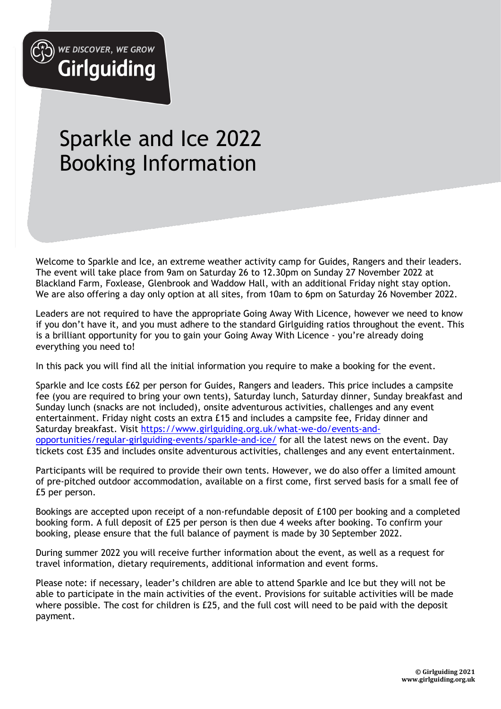

# Sparkle and Ice 2022 Booking Information

Welcome to Sparkle and Ice, an extreme weather activity camp for Guides, Rangers and their leaders. The event will take place from 9am on Saturday 26 to 12.30pm on Sunday 27 November 2022 at Blackland Farm, Foxlease, Glenbrook and Waddow Hall, with an additional Friday night stay option. We are also offering a day only option at all sites, from 10am to 6pm on Saturday 26 November 2022.

Leaders are not required to have the appropriate Going Away With Licence, however we need to know if you don't have it, and you must adhere to the standard Girlguiding ratios throughout the event. This is a brilliant opportunity for you to gain your Going Away With Licence - you're already doing everything you need to!

In this pack you will find all the initial information you require to make a booking for the event.

Sparkle and Ice costs £62 per person for Guides, Rangers and leaders. This price includes a campsite fee (you are required to bring your own tents), Saturday lunch, Saturday dinner, Sunday breakfast and Sunday lunch (snacks are not included), onsite adventurous activities, challenges and any event entertainment. Friday night costs an extra £15 and includes a campsite fee, Friday dinner and Saturday breakfast. Visit https://www.girlguiding.org.uk/what-we-do/events-andopportunities/regular-girlguiding-events/sparkle-and-ice/ for all the latest news on the event. Day tickets cost £35 and includes onsite adventurous activities, challenges and any event entertainment.

Participants will be required to provide their own tents. However, we do also offer a limited amount of pre-pitched outdoor accommodation, available on a first come, first served basis for a small fee of £5 per person.

Bookings are accepted upon receipt of a non-refundable deposit of £100 per booking and a completed booking form. A full deposit of £25 per person is then due 4 weeks after booking. To confirm your booking, please ensure that the full balance of payment is made by 30 September 2022.

During summer 2022 you will receive further information about the event, as well as a request for travel information, dietary requirements, additional information and event forms.

Please note: if necessary, leader's children are able to attend Sparkle and Ice but they will not be able to participate in the main activities of the event. Provisions for suitable activities will be made where possible. The cost for children is £25, and the full cost will need to be paid with the deposit payment.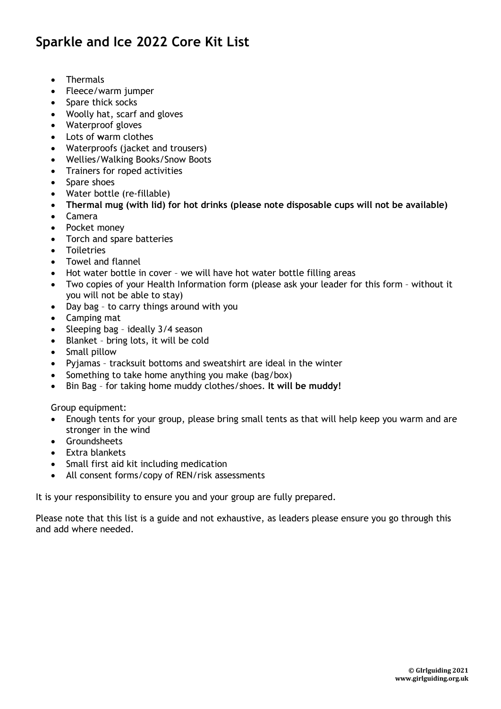# Sparkle and Ice 2022 Core Kit List

- Thermals
- Fleece/warm jumper
- Spare thick socks
- Woolly hat, scarf and gloves
- Waterproof gloves
- Lots of warm clothes
- Waterproofs (jacket and trousers)
- Wellies/Walking Books/Snow Boots
- Trainers for roped activities
- Spare shoes
- Water bottle (re-fillable)
- Thermal mug (with lid) for hot drinks (please note disposable cups will not be available)
- Camera
- Pocket money
- Torch and spare batteries
- Toiletries
- Towel and flannel
- Hot water bottle in cover we will have hot water bottle filling areas
- Two copies of your Health Information form (please ask your leader for this form without it you will not be able to stay)
- Day bag to carry things around with you
- Camping mat
- Sleeping bag ideally 3/4 season
- Blanket bring lots, it will be cold
- Small pillow
- Pyjamas tracksuit bottoms and sweatshirt are ideal in the winter
- Something to take home anything you make (bag/box)
- Bin Bag for taking home muddy clothes/shoes. It will be muddy!

Group equipment:

- Enough tents for your group, please bring small tents as that will help keep you warm and are stronger in the wind
- **•** Groundsheets
- Extra blankets
- Small first aid kit including medication
- All consent forms/copy of REN/risk assessments

It is your responsibility to ensure you and your group are fully prepared.

Please note that this list is a guide and not exhaustive, as leaders please ensure you go through this and add where needed.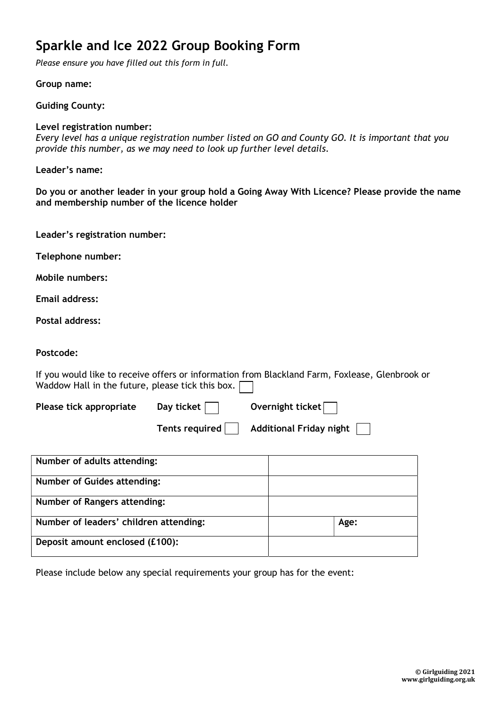# Sparkle and Ice 2022 Group Booking Form

Please ensure you have filled out this form in full.

Group name:

Guiding County:

#### Level registration number:

Every level has a unique registration number listed on GO and County GO. It is important that you provide this number, as we may need to look up further level details.

Leader's name:

Do you or another leader in your group hold a Going Away With Licence? Please provide the name and membership number of the licence holder

| Leader's registration number: |  |
|-------------------------------|--|
|-------------------------------|--|

Telephone number:

Mobile numbers:

Email address:

Postal address:

#### Postcode:

If you would like to receive offers or information from Blackland Farm, Foxlease, Glenbrook or Waddow Hall in the future, please tick this box.  $\Box$ 

| Please tick appropriate | Day ticket $\Box$ | Overnight ticket $\Box$                  |
|-------------------------|-------------------|------------------------------------------|
|                         |                   | Tents required   Additional Friday night |

| Number of adults attending:            |      |
|----------------------------------------|------|
| <b>Number of Guides attending:</b>     |      |
| Number of Rangers attending:           |      |
| Number of leaders' children attending: | Age: |
| Deposit amount enclosed (£100):        |      |

Please include below any special requirements your group has for the event: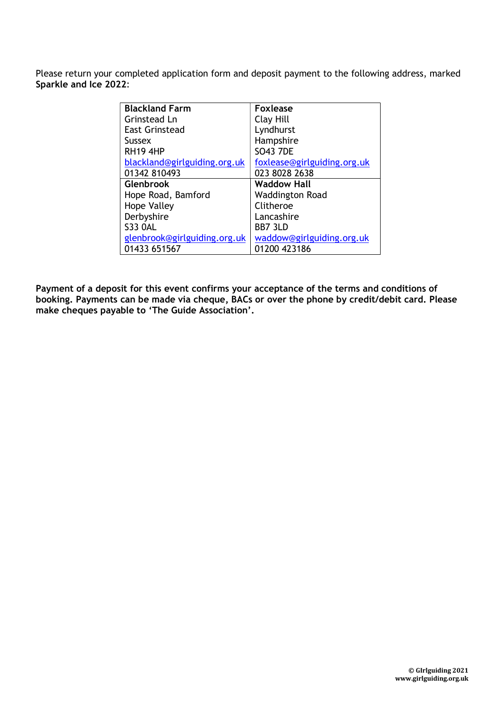Please return your completed application form and deposit payment to the following address, marked Sparkle and Ice 2022:

| <b>Blackland Farm</b>        | <b>Foxlease</b>             |
|------------------------------|-----------------------------|
| Grinstead Ln                 | Clay Hill                   |
| East Grinstead               | Lyndhurst                   |
| Sussex                       | Hampshire                   |
| <b>RH19 4HP</b>              | <b>SO43 7DE</b>             |
| blackland@girlguiding.org.uk | foxlease@girlguiding.org.uk |
| 01342 810493                 | 023 8028 2638               |
| <b>Glenbrook</b>             | <b>Waddow Hall</b>          |
| Hope Road, Bamford           | <b>Waddington Road</b>      |
| <b>Hope Valley</b>           | Clitheroe                   |
| Derbyshire                   | Lancashire                  |
| <b>S33 OAL</b>               | BB7 3LD                     |
| glenbrook@girlguiding.org.uk | waddow@girlguiding.org.uk   |
| 01433 651567                 | 01200 423186                |

Payment of a deposit for this event confirms your acceptance of the terms and conditions of booking. Payments can be made via cheque, BACs or over the phone by credit/debit card. Please make cheques payable to 'The Guide Association'.